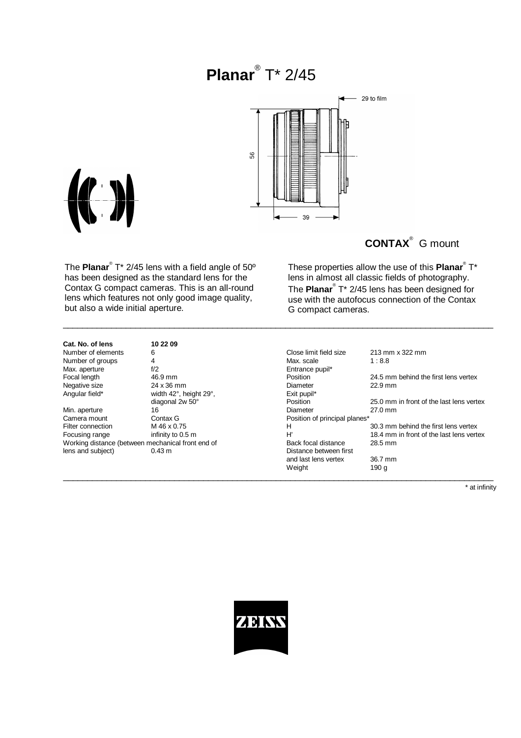# **Planar**® T\* 2/45



\_\_\_\_\_\_\_\_\_\_\_\_\_\_\_\_\_\_\_\_\_\_\_\_\_\_\_\_\_\_\_\_\_\_\_\_\_\_\_\_\_\_\_\_\_\_\_\_\_\_\_\_\_\_\_\_\_\_\_\_\_\_\_\_\_\_\_\_\_\_\_\_\_\_\_\_\_\_\_\_\_\_\_\_\_\_\_\_\_



The **Planar**® T\* 2/45 lens with a field angle of 50º has been designed as the standard lens for the Contax G compact cameras. This is an all-round lens which features not only good image quality, but also a wide initial aperture.

| These properties allow the use of this Planar <sup>®</sup> T*          |
|------------------------------------------------------------------------|
| lens in almost all classic fields of photography.                      |
| The Planar <sup>®</sup> T <sup>*</sup> 2/45 lens has been designed for |
| use with the autofocus connection of the Contax                        |
| G compact cameras.                                                     |

| Cat. No. of lens   |
|--------------------|
| Number of elements |
| Number of groups   |
| Max. aperture      |
| Focal length       |
| Negative size      |
| Angular field*     |
|                    |

**Cat. No. of lens 10 22 09** Max. aperture **f**/2 final state of the state of the state of the state of the state of the state of the state of the state of the state of the state of the state of the state of the state of the state of the state of the s 24 x 36 mm Angular field\* **Exit pupil\*** width 42°, height 29°, **EXIT pupil\*** Exit pupil\*

| Number of elements                                | 6                      | Close limit field size        | 213 mm x 322 mm                          |
|---------------------------------------------------|------------------------|-------------------------------|------------------------------------------|
| Number of groups                                  | 4                      | Max. scale                    | 1:8.8                                    |
| Max. aperture                                     | f/2                    | Entrance pupil*               |                                          |
| Focal length                                      | 46.9 mm                | <b>Position</b>               | 24.5 mm behind the first lens vertex     |
| Negative size                                     | 24 x 36 mm             | Diameter                      | $22.9$ mm                                |
| Angular field*                                    | width 42°, height 29°, | Exit pupil*                   |                                          |
|                                                   | diagonal 2w 50°        | Position                      | 25.0 mm in front of the last lens vertex |
| Min. aperture                                     | 16                     | Diameter                      | $27.0$ mm                                |
| Camera mount                                      | Contax G               | Position of principal planes* |                                          |
| Filter connection                                 | M 46 x 0.75            | н                             | 30.3 mm behind the first lens vertex     |
| Focusing range                                    | infinity to 0.5 m      | H'                            | 18.4 mm in front of the last lens vertex |
| Working distance (between mechanical front end of |                        | Back focal distance           | 28.5 mm                                  |
| lens and subject)                                 | $0.43 \text{ m}$       | Distance between first        |                                          |
|                                                   |                        | and last lens vertex          | 36.7 mm                                  |
|                                                   |                        | Weight                        | 190 g                                    |
|                                                   |                        |                               |                                          |

\* at infinity